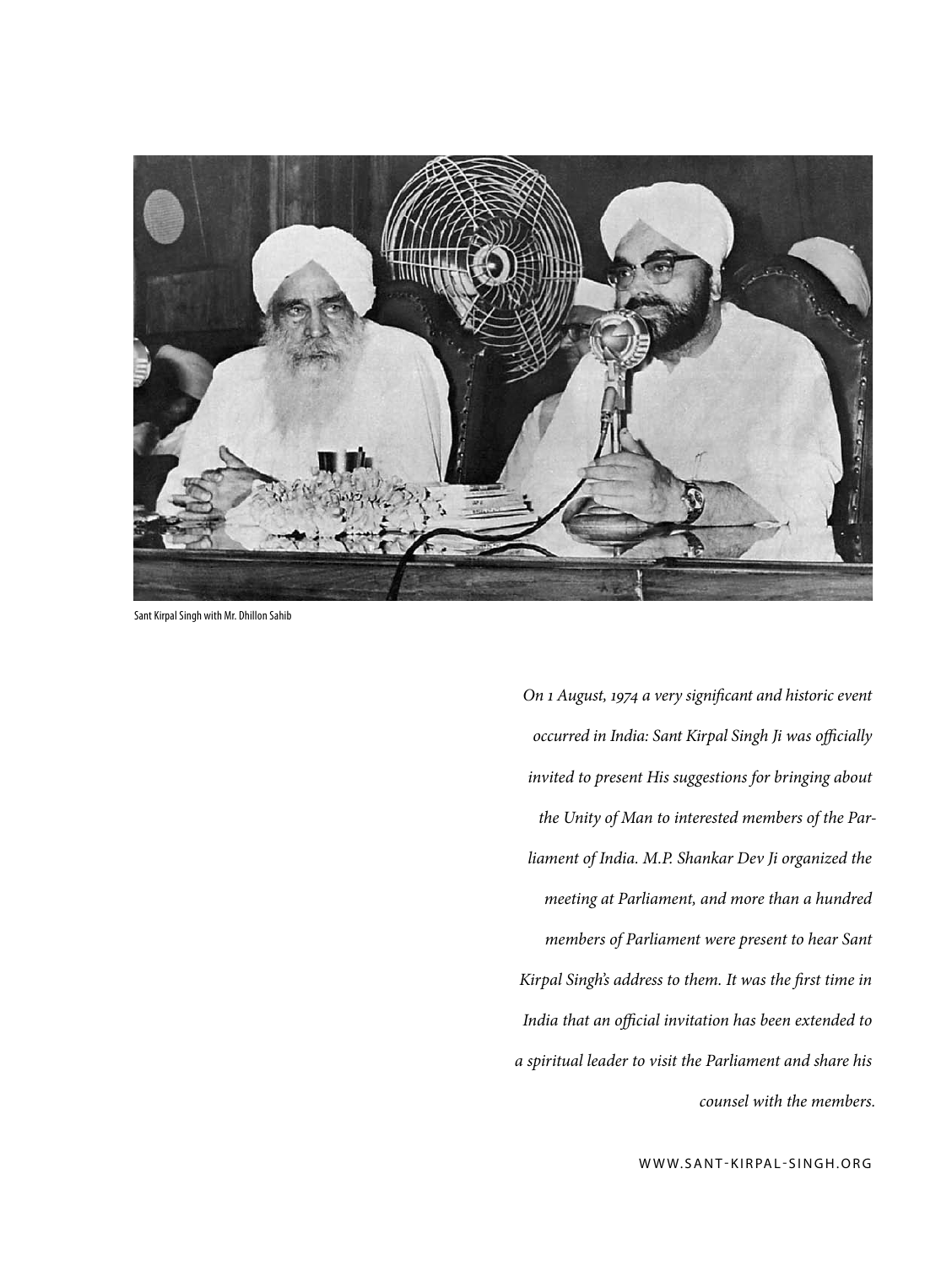

Sant Kirpal Singh with Mr. Dhillon Sahib

*On 1 August, 1974 a very significant and historic event occurred in India: Sant Kirpal Singh Ji was officially invited to present His suggestions for bringing about the Unity of Man to interested members of the Parliament of India. M.P. Shankar Dev Ji organized the meeting at Parliament, and more than a hundred members of Parliament were present to hear Sant Kirpal Singh's address to them. It was the first time in India that an official invitation has been extended to a spiritual leader to visit the Parliament and share his counsel with the members.*